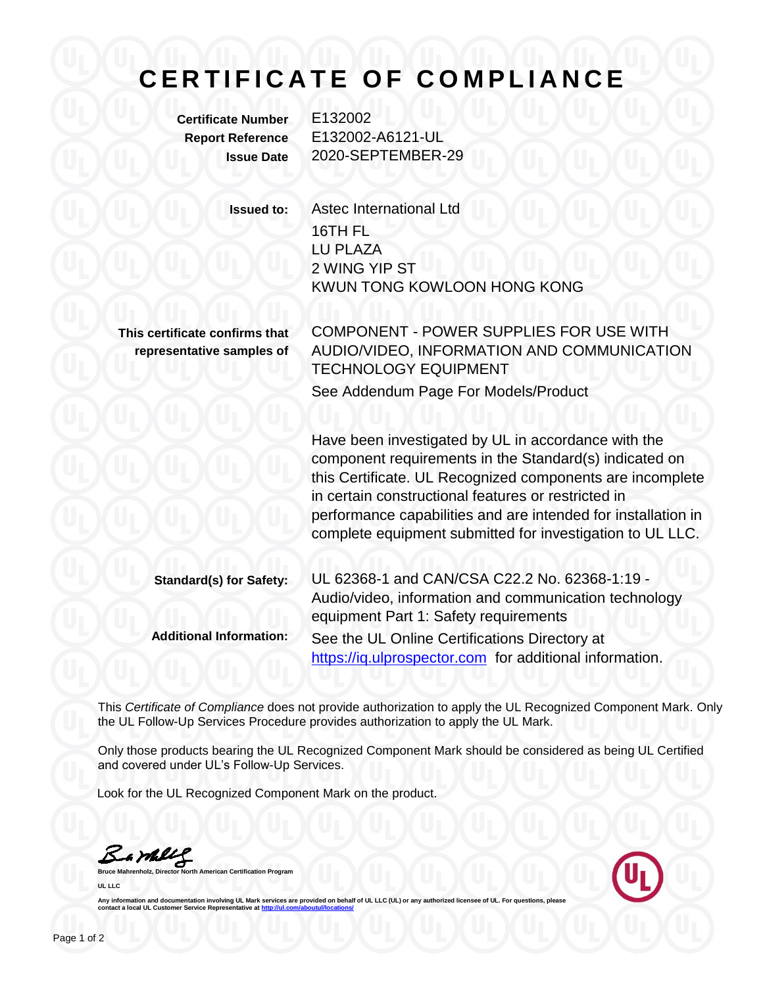## **C E R T I F I C A T E O F C O M P L I A N C E**

**Certificate Number** E132002

**Report Reference** E132002-A6121-UL **Issue Date** 2020-SEPTEMBER-29

**Issued to:** Astec International Ltd 16TH FL LU PLAZA 2 WING YIP ST KWUN TONG KOWLOON HONG KONG

**This certificate confirms that representative samples of** COMPONENT - POWER SUPPLIES FOR USE WITH AUDIO/VIDEO, INFORMATION AND COMMUNICATION TECHNOLOGY EQUIPMENT See Addendum Page For Models/Product

Have been investigated by UL in accordance with the component requirements in the Standard(s) indicated on this Certificate. UL Recognized components are incomplete in certain constructional features or restricted in performance capabilities and are intended for installation in complete equipment submitted for investigation to UL LLC.

| <b>Standard(s) for Safety:</b> | UL 62368-1 and CAN/CSA C22.2 No. 62368-1:19 -                                                  |
|--------------------------------|------------------------------------------------------------------------------------------------|
|                                | Audio/video, information and communication technology<br>equipment Part 1: Safety requirements |
| <b>Additional Information:</b> | See the UL Online Certifications Directory at                                                  |
|                                | https://iq.ulprospector.com for additional information.                                        |

This *Certificate of Compliance* does not provide authorization to apply the UL Recognized Component Mark. Only the UL Follow-Up Services Procedure provides authorization to apply the UL Mark.

Only those products bearing the UL Recognized Component Mark should be considered as being UL Certified and covered under UL's Follow-Up Services.

Look for the UL Recognized Component Mark on the product.

Bambly

**Refingerige Managers** Program **UL LLC**



Any information and documentation involving UL Mark services are provided on behalf of UL LLC (UL) or any authorized licensee of UL. For questions, please<br>contact a local UL Customer Service Representative at <u>http://ul.co</u>